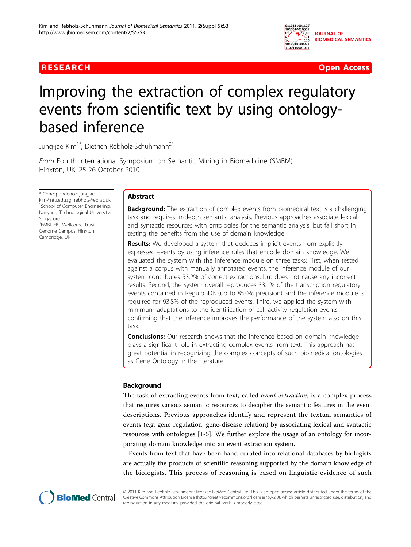

**RESEARCH Open Access** 

# Improving the extraction of complex regulatory events from scientific text by using ontologybased inference

Jung-jae Kim<sup>1\*</sup>, Dietrich Rebholz-Schuhmann<sup>2\*</sup>

From Fourth International Symposium on Semantic Mining in Biomedicine (SMBM) Hinxton, UK. 25-26 October 2010

\* Correspondence: [jungjae.](mailto:jungjae.kim@ntu.edu.sg) [kim@ntu.edu.sg;](mailto:jungjae.kim@ntu.edu.sg) [rebholz@ebi.ac.uk](mailto:rebholz@ebi.ac.uk) <sup>1</sup>School of Computer Engineering, Nanyang Technological University, Singapore 2 EMBL-EBI, Wellcome Trust Genome Campus, Hinxton, Cambridge, UK

# Abstract

**Background:** The extraction of complex events from biomedical text is a challenging task and requires in-depth semantic analysis. Previous approaches associate lexical and syntactic resources with ontologies for the semantic analysis, but fall short in testing the benefits from the use of domain knowledge.

Results: We developed a system that deduces implicit events from explicitly expressed events by using inference rules that encode domain knowledge. We evaluated the system with the inference module on three tasks: First, when tested against a corpus with manually annotated events, the inference module of our system contributes 53.2% of correct extractions, but does not cause any incorrect results. Second, the system overall reproduces 33.1% of the transcription regulatory events contained in RegulonDB (up to 85.0% precision) and the inference module is required for 93.8% of the reproduced events. Third, we applied the system with minimum adaptations to the identification of cell activity regulation events, confirming that the inference improves the performance of the system also on this task.

**Conclusions:** Our research shows that the inference based on domain knowledge plays a significant role in extracting complex events from text. This approach has great potential in recognizing the complex concepts of such biomedical ontologies as Gene Ontology in the literature.

# Background

The task of extracting events from text, called event extraction, is a complex process that requires various semantic resources to decipher the semantic features in the event descriptions. Previous approaches identify and represent the textual semantics of events (e.g. gene regulation, gene-disease relation) by associating lexical and syntactic resources with ontologies [[1-](#page-11-0)[5](#page-12-0)]. We further explore the usage of an ontology for incorporating domain knowledge into an event extraction system.

Events from text that have been hand-curated into relational databases by biologists are actually the products of scientific reasoning supported by the domain knowledge of the biologists. This process of reasoning is based on linguistic evidence of such



© 2011 Kim and Rebholz-Schuhmann; licensee BioMed Central Ltd. This is an open access article distributed under the terms of the Creative Commons Attribution License (<http://creativecommons.org/licenses/by/2.0>), which permits unrestricted use, distribution, and reproduction in any medium, provided the original work is properly cited.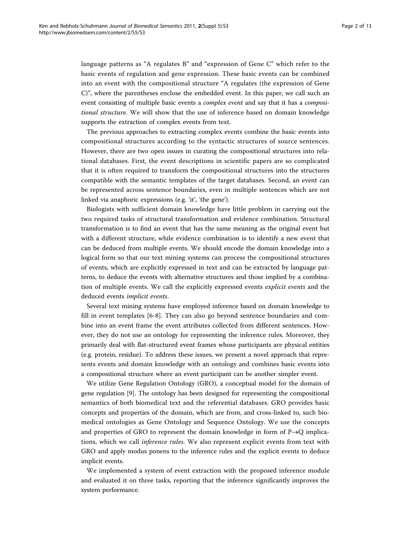language patterns as "A regulates B" and "expression of Gene C" which refer to the basic events of regulation and gene expression. These basic events can be combined into an event with the compositional structure "A regulates (the expression of Gene C)", where the parentheses enclose the embedded event. In this paper, we call such an event consisting of multiple basic events a *complex event* and say that it has a *composi*tional structure. We will show that the use of inference based on domain knowledge supports the extraction of complex events from text.

The previous approaches to extracting complex events combine the basic events into compositional structures according to the syntactic structures of source sentences. However, there are two open issues in curating the compositional structures into relational databases. First, the event descriptions in scientific papers are so complicated that it is often required to transform the compositional structures into the structures compatible with the semantic templates of the target databases. Second, an event can be represented across sentence boundaries, even in multiple sentences which are not linked via anaphoric expressions (e.g. 'it', 'the gene').

Biologists with sufficient domain knowledge have little problem in carrying out the two required tasks of structural transformation and evidence combination. Structural transformation is to find an event that has the same meaning as the original event but with a different structure, while evidence combination is to identify a new event that can be deduced from multiple events. We should encode the domain knowledge into a logical form so that our text mining systems can process the compositional structures of events, which are explicitly expressed in text and can be extracted by language patterns, to deduce the events with alternative structures and those implied by a combination of multiple events. We call the explicitly expressed events explicit events and the deduced events implicit events.

Several text mining systems have employed inference based on domain knowledge to fill in event templates [\[6](#page-12-0)-[8](#page-12-0)]. They can also go beyond sentence boundaries and combine into an event frame the event attributes collected from different sentences. However, they do not use an ontology for representing the inference rules. Moreover, they primarily deal with flat-structured event frames whose participants are physical entities (e.g. protein, residue). To address these issues, we present a novel approach that represents events and domain knowledge with an ontology and combines basic events into a compositional structure where an event participant can be another simpler event.

We utilize Gene Regulation Ontology (GRO), a conceptual model for the domain of gene regulation [[9\]](#page-12-0). The ontology has been designed for representing the compositional semantics of both biomedical text and the referential databases. GRO provides basic concepts and properties of the domain, which are from, and cross-linked to, such biomedical ontologies as Gene Ontology and Sequence Ontology. We use the concepts and properties of GRO to represent the domain knowledge in form of  $P\rightarrow Q$  implications, which we call inference rules. We also represent explicit events from text with GRO and apply modus ponens to the inference rules and the explicit events to deduce implicit events.

We implemented a system of event extraction with the proposed inference module and evaluated it on three tasks, reporting that the inference significantly improves the system performance.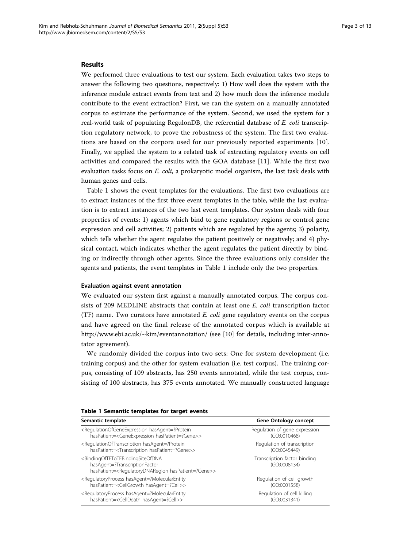#### <span id="page-2-0"></span>Results

We performed three evaluations to test our system. Each evaluation takes two steps to answer the following two questions, respectively: 1) How well does the system with the inference module extract events from text and 2) how much does the inference module contribute to the event extraction? First, we ran the system on a manually annotated corpus to estimate the performance of the system. Second, we used the system for a real-world task of populating RegulonDB, the referential database of E. coli transcription regulatory network, to prove the robustness of the system. The first two evaluations are based on the corpora used for our previously reported experiments [[10](#page-12-0)]. Finally, we applied the system to a related task of extracting regulatory events on cell activities and compared the results with the GOA database [[11](#page-12-0)]. While the first two evaluation tasks focus on  $E$ . coli, a prokaryotic model organism, the last task deals with human genes and cells.

Table 1 shows the event templates for the evaluations. The first two evaluations are to extract instances of the first three event templates in the table, while the last evaluation is to extract instances of the two last event templates. Our system deals with four properties of events: 1) agents which bind to gene regulatory regions or control gene expression and cell activities; 2) patients which are regulated by the agents; 3) polarity, which tells whether the agent regulates the patient positively or negatively; and 4) physical contact, which indicates whether the agent regulates the patient directly by binding or indirectly through other agents. Since the three evaluations only consider the agents and patients, the event templates in Table 1 include only the two properties.

#### Evaluation against event annotation

We evaluated our system first against a manually annotated corpus. The corpus consists of 209 MEDLINE abstracts that contain at least one E. coli transcription factor (TF) name. Two curators have annotated  $E.$  coli gene regulatory events on the corpus and have agreed on the final release of the annotated corpus which is available at <http://www.ebi.ac.uk/~kim/eventannotation/> (see [\[10](#page-12-0)] for details, including inter-annotator agreement).

We randomly divided the corpus into two sets: One for system development (i.e. training corpus) and the other for system evaluation (i.e. test corpus). The training corpus, consisting of 109 abstracts, has 250 events annotated, while the test corpus, consisting of 100 abstracts, has 375 events annotated. We manually constructed language

| Semantic template                                                                                                                                                                        | Gene Ontology concept                        |
|------------------------------------------------------------------------------------------------------------------------------------------------------------------------------------------|----------------------------------------------|
| <regulationofgeneexpression hasagent="?Protein&lt;/td"><td>Regulation of gene expression</td></regulationofgeneexpression>                                                               | Regulation of gene expression                |
| hasPatient= <geneexpression haspatient="?Gene">&gt;</geneexpression>                                                                                                                     | (GO:0010468)                                 |
| <regulationoftranscription hasagent="?Protein&lt;/td"><td>Regulation of transcription</td></regulationoftranscription>                                                                   | Regulation of transcription                  |
| hasPatient= <transcription haspatient="?Gene">&gt;</transcription>                                                                                                                       | (GO:0045449)                                 |
| <bindingoftftotfbindingsiteofdna<br>hasAgent=?TranscriptionFactor<br/>hasPatient=<regulatorydnaregion haspatient="?Gene">&gt;</regulatorydnaregion></bindingoftftotfbindingsiteofdna<br> | Transcription factor binding<br>(GO:0008134) |
| <regulatoryprocess hasagent="?MolecularEntity&lt;/td"><td>Regulation of cell growth</td></regulatoryprocess>                                                                             | Regulation of cell growth                    |
| hasPatient= <cellgrowth hasagent="?Cell">&gt;</cellgrowth>                                                                                                                               | (GO:0001558)                                 |
| <regulatoryprocess hasagent="?MolecularEntity&lt;/td"><td>Regulation of cell killing</td></regulatoryprocess>                                                                            | Regulation of cell killing                   |
| hasPatient= <celldeath hasagent="?Cell">&gt;</celldeath>                                                                                                                                 | (GO:0031341)                                 |

#### Table 1 Semantic templates for target events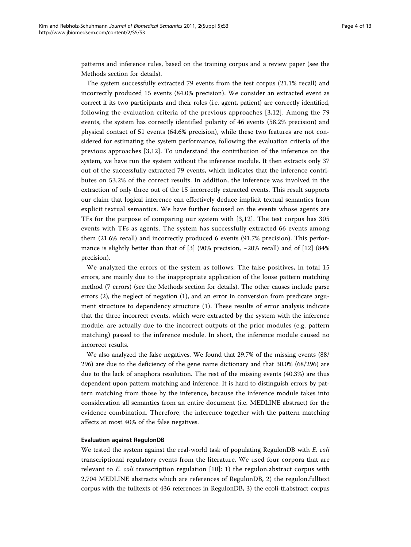patterns and inference rules, based on the training corpus and a review paper (see the Methods section for details).

The system successfully extracted 79 events from the test corpus (21.1% recall) and incorrectly produced 15 events (84.0% precision). We consider an extracted event as correct if its two participants and their roles (i.e. agent, patient) are correctly identified, following the evaluation criteria of the previous approaches [\[3,12](#page-12-0)]. Among the 79 events, the system has correctly identified polarity of 46 events (58.2% precision) and physical contact of 51 events (64.6% precision), while these two features are not considered for estimating the system performance, following the evaluation criteria of the previous approaches [[3,12](#page-12-0)]. To understand the contribution of the inference on the system, we have run the system without the inference module. It then extracts only 37 out of the successfully extracted 79 events, which indicates that the inference contributes on 53.2% of the correct results. In addition, the inference was involved in the extraction of only three out of the 15 incorrectly extracted events. This result supports our claim that logical inference can effectively deduce implicit textual semantics from explicit textual semantics. We have further focused on the events whose agents are TFs for the purpose of comparing our system with [[3,12\]](#page-12-0). The test corpus has 305 events with TFs as agents. The system has successfully extracted 66 events among them (21.6% recall) and incorrectly produced 6 events (91.7% precision). This perfor-mance is slightly better than that of [[3](#page-12-0)] (90% precision,  $\sim$  20% recall) and of [\[12](#page-12-0)] (84% precision).

We analyzed the errors of the system as follows: The false positives, in total 15 errors, are mainly due to the inappropriate application of the loose pattern matching method (7 errors) (see the Methods section for details). The other causes include parse errors (2), the neglect of negation (1), and an error in conversion from predicate argument structure to dependency structure (1). These results of error analysis indicate that the three incorrect events, which were extracted by the system with the inference module, are actually due to the incorrect outputs of the prior modules (e.g. pattern matching) passed to the inference module. In short, the inference module caused no incorrect results.

We also analyzed the false negatives. We found that 29.7% of the missing events (88/ 296) are due to the deficiency of the gene name dictionary and that 30.0% (68/296) are due to the lack of anaphora resolution. The rest of the missing events (40.3%) are thus dependent upon pattern matching and inference. It is hard to distinguish errors by pattern matching from those by the inference, because the inference module takes into consideration all semantics from an entire document (i.e. MEDLINE abstract) for the evidence combination. Therefore, the inference together with the pattern matching affects at most 40% of the false negatives.

#### Evaluation against RegulonDB

We tested the system against the real-world task of populating RegulonDB with E. coli transcriptional regulatory events from the literature. We used four corpora that are relevant to  $E.$  coli transcription regulation  $[10]$ : 1) the regulon.abstract corpus with 2,704 MEDLINE abstracts which are references of RegulonDB, 2) the regulon.fulltext corpus with the fulltexts of 436 references in RegulonDB, 3) the ecoli-tf.abstract corpus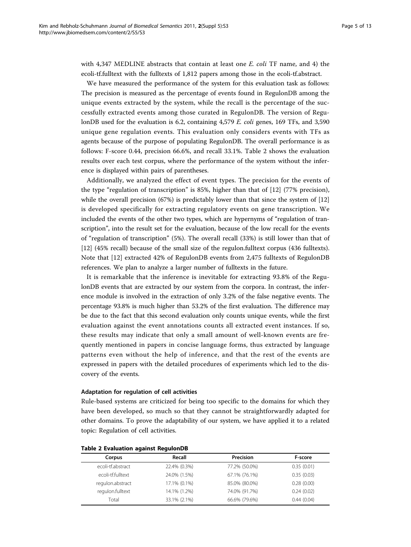with  $4,347$  MEDLINE abstracts that contain at least one E. coli TF name, and 4) the ecoli-tf.fulltext with the fulltexts of 1,812 papers among those in the ecoli-tf.abstract.

We have measured the performance of the system for this evaluation task as follows: The precision is measured as the percentage of events found in RegulonDB among the unique events extracted by the system, while the recall is the percentage of the successfully extracted events among those curated in RegulonDB. The version of RegulonDB used for the evaluation is 6.2, containing 4,579 E. coli genes, 169 TFs, and 3,590 unique gene regulation events. This evaluation only considers events with TFs as agents because of the purpose of populating RegulonDB. The overall performance is as follows: F-score 0.44, precision 66.6%, and recall 33.1%. Table 2 shows the evaluation results over each test corpus, where the performance of the system without the inference is displayed within pairs of parentheses.

Additionally, we analyzed the effect of event types. The precision for the events of the type "regulation of transcription" is 85%, higher than that of [\[12](#page-12-0)] (77% precision), while the overall precision (67%) is predictably lower than that since the system of [[12](#page-12-0)] is developed specifically for extracting regulatory events on gene transcription. We included the events of the other two types, which are hypernyms of "regulation of transcription", into the result set for the evaluation, because of the low recall for the events of "regulation of transcription" (5%). The overall recall (33%) is still lower than that of [[12\]](#page-12-0) (45% recall) because of the small size of the regulon.fulltext corpus (436 fulltexts). Note that [\[12](#page-12-0)] extracted 42% of RegulonDB events from 2,475 fulltexts of RegulonDB references. We plan to analyze a larger number of fulltexts in the future.

It is remarkable that the inference is inevitable for extracting 93.8% of the RegulonDB events that are extracted by our system from the corpora. In contrast, the inference module is involved in the extraction of only 3.2% of the false negative events. The percentage 93.8% is much higher than 53.2% of the first evaluation. The difference may be due to the fact that this second evaluation only counts unique events, while the first evaluation against the event annotations counts all extracted event instances. If so, these results may indicate that only a small amount of well-known events are frequently mentioned in papers in concise language forms, thus extracted by language patterns even without the help of inference, and that the rest of the events are expressed in papers with the detailed procedures of experiments which led to the discovery of the events.

#### Adaptation for regulation of cell activities

Rule-based systems are criticized for being too specific to the domains for which they have been developed, so much so that they cannot be straightforwardly adapted for other domains. To prove the adaptability of our system, we have applied it to a related topic: Regulation of cell activities.

| Corpus            | Recall       | Precision     | F-score    |
|-------------------|--------------|---------------|------------|
| ecoli-tf.abstract | 22.4% (0.3%) | 77.2% (50.0%) | 0.35(0.01) |
| ecoli-tf.fulltext | 24.0% (1.5%) | 67.1% (76.1%) | 0.35(0.03) |
| regulon.abstract  | 17.1% (0.1%) | 85.0% (80.0%) | 0.28(0.00) |
| regulon.fulltext  | 14.1% (1.2%) | 74.0% (91.7%) | 0.24(0.02) |
| Total             | 33.1% (2.1%) | 66.6% (79.6%) | 0.44(0.04) |

Table 2 Evaluation against RegulonDB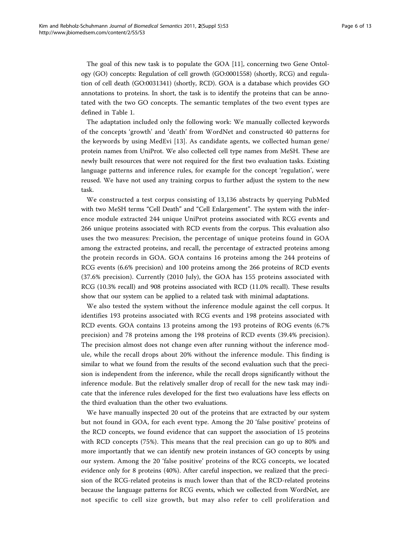The goal of this new task is to populate the GOA [\[11](#page-12-0)], concerning two Gene Ontology (GO) concepts: Regulation of cell growth (GO:0001558) (shortly, RCG) and regulation of cell death (GO:0031341) (shortly, RCD). GOA is a database which provides GO annotations to proteins. In short, the task is to identify the proteins that can be annotated with the two GO concepts. The semantic templates of the two event types are defined in Table [1.](#page-2-0)

The adaptation included only the following work: We manually collected keywords of the concepts 'growth' and 'death' from WordNet and constructed 40 patterns for the keywords by using MedEvi [[13\]](#page-12-0). As candidate agents, we collected human gene/ protein names from UniProt. We also collected cell type names from MeSH. These are newly built resources that were not required for the first two evaluation tasks. Existing language patterns and inference rules, for example for the concept 'regulation', were reused. We have not used any training corpus to further adjust the system to the new task.

We constructed a test corpus consisting of 13,136 abstracts by querying PubMed with two MeSH terms "Cell Death" and "Cell Enlargement". The system with the inference module extracted 244 unique UniProt proteins associated with RCG events and 266 unique proteins associated with RCD events from the corpus. This evaluation also uses the two measures: Precision, the percentage of unique proteins found in GOA among the extracted proteins, and recall, the percentage of extracted proteins among the protein records in GOA. GOA contains 16 proteins among the 244 proteins of RCG events (6.6% precision) and 100 proteins among the 266 proteins of RCD events (37.6% precision). Currently (2010 July), the GOA has 155 proteins associated with RCG (10.3% recall) and 908 proteins associated with RCD (11.0% recall). These results show that our system can be applied to a related task with minimal adaptations.

We also tested the system without the inference module against the cell corpus. It identifies 193 proteins associated with RCG events and 198 proteins associated with RCD events. GOA contains 13 proteins among the 193 proteins of ROG events (6.7% precision) and 78 proteins among the 198 proteins of RCD events (39.4% precision). The precision almost does not change even after running without the inference module, while the recall drops about 20% without the inference module. This finding is similar to what we found from the results of the second evaluation such that the precision is independent from the inference, while the recall drops significantly without the inference module. But the relatively smaller drop of recall for the new task may indicate that the inference rules developed for the first two evaluations have less effects on the third evaluation than the other two evaluations.

We have manually inspected 20 out of the proteins that are extracted by our system but not found in GOA, for each event type. Among the 20 'false positive' proteins of the RCD concepts, we found evidence that can support the association of 15 proteins with RCD concepts (75%). This means that the real precision can go up to 80% and more importantly that we can identify new protein instances of GO concepts by using our system. Among the 20 'false positive' proteins of the RCG concepts, we located evidence only for 8 proteins (40%). After careful inspection, we realized that the precision of the RCG-related proteins is much lower than that of the RCD-related proteins because the language patterns for RCG events, which we collected from WordNet, are not specific to cell size growth, but may also refer to cell proliferation and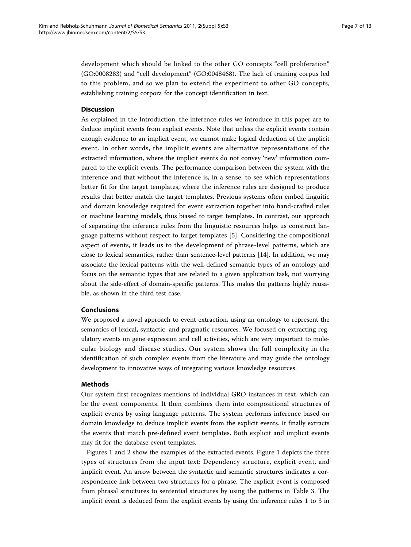development which should be linked to the other GO concepts "cell proliferation" (GO:0008283) and "cell development" (GO:0048468). The lack of training corpus led to this problem, and so we plan to extend the experiment to other GO concepts, establishing training corpora for the concept identification in text.

# **Discussion**

As explained in the Introduction, the inference rules we introduce in this paper are to deduce implicit events from explicit events. Note that unless the explicit events contain enough evidence to an implicit event, we cannot make logical deduction of the implicit event. In other words, the implicit events are alternative representations of the extracted information, where the implicit events do not convey 'new' information compared to the explicit events. The performance comparison between the system with the inference and that without the inference is, in a sense, to see which representations better fit for the target templates, where the inference rules are designed to produce results that better match the target templates. Previous systems often embed linguitic and domain knowledge required for event extraction together into hand-crafted rules or machine learning models, thus biased to target templates. In contrast, our approach of separating the inference rules from the linguistic resources helps us construct language patterns without respect to target templates [[5\]](#page-12-0). Considering the compositional aspect of events, it leads us to the development of phrase-level patterns, which are close to lexical semantics, rather than sentence-level patterns [[14\]](#page-12-0). In addition, we may associate the lexical patterns with the well-defined semantic types of an ontology and focus on the semantic types that are related to a given application task, not worrying about the side-effect of domain-specific patterns. This makes the patterns highly reusable, as shown in the third test case.

#### Conclusions

We proposed a novel approach to event extraction, using an ontology to represent the semantics of lexical, syntactic, and pragmatic resources. We focused on extracting regulatory events on gene expression and cell activities, which are very important to molecular biology and disease studies. Our system shows the full complexity in the identification of such complex events from the literature and may guide the ontology development to innovative ways of integrating various knowledge resources.

#### Methods

Our system first recognizes mentions of individual GRO instances in text, which can be the event components. It then combines them into compositional structures of explicit events by using language patterns. The system performs inference based on domain knowledge to deduce implicit events from the explicit events. It finally extracts the events that match pre-defined event templates. Both explicit and implicit events may fit for the database event templates.

Figures [1](#page-7-0) and [2](#page-7-0) show the examples of the extracted events. Figure [1](#page-7-0) depicts the three types of structures from the input text: Dependency structure, explicit event, and implicit event. An arrow between the syntactic and semantic structures indicates a correspondence link between two structures for a phrase. The explicit event is composed from phrasal structures to sentential structures by using the patterns in Table [3.](#page-8-0) The implicit event is deduced from the explicit events by using the inference rules 1 to 3 in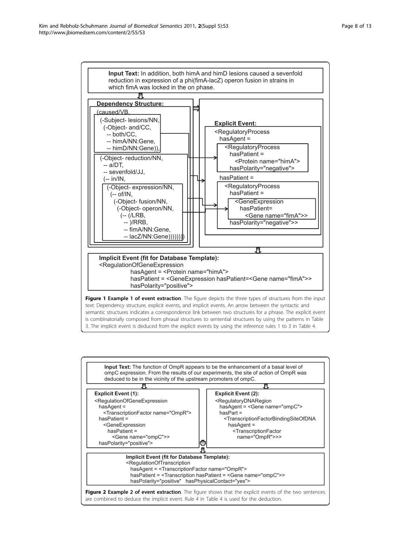<span id="page-7-0"></span>

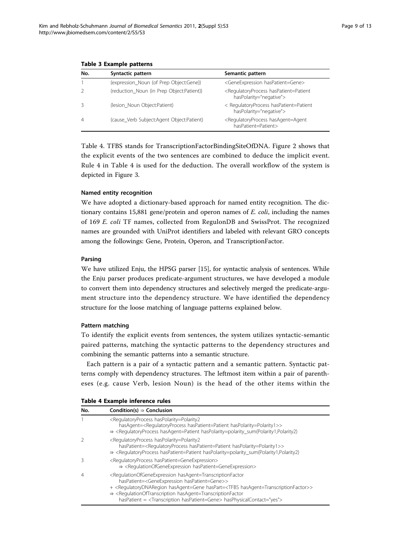| No.            | Syntactic pattern                         | Semantic pattern                                                                             |
|----------------|-------------------------------------------|----------------------------------------------------------------------------------------------|
|                | (expression Noun (of Prep Object:Gene))   | <geneexpression haspatient="Gene"></geneexpression>                                          |
|                | (reduction Noun (in Prep Object:Patient)) | <regulatoryprocess haspatient="Patient&lt;br">hasPolarity="negative"&gt;</regulatoryprocess> |
|                | (lesion_Noun Object:Patient)              | < RegulatoryProcess hasPatient=Patient<br>hasPolarity="negative">                            |
| $\overline{4}$ | (cause Verb Subject:Agent Object:Patient) | <regulatoryprocess hasagent="Agent&lt;br">hasPatient=Patient&gt;</regulatoryprocess>         |

#### <span id="page-8-0"></span>Table 3 Example patterns

Table 4. TFBS stands for TranscriptionFactorBindingSiteOfDNA. Figure [2](#page-7-0) shows that the explicit events of the two sentences are combined to deduce the implicit event. Rule 4 in Table 4 is used for the deduction. The overall workflow of the system is depicted in Figure [3](#page-9-0).

# Named entity recognition

We have adopted a dictionary-based approach for named entity recognition. The dictionary contains 15,881 gene/protein and operon names of  $E.$  coli, including the names of 169 E. coli TF names, collected from RegulonDB and SwissProt. The recognized names are grounded with UniProt identifiers and labeled with relevant GRO concepts among the followings: Gene, Protein, Operon, and TranscriptionFactor.

# Parsing

We have utilized Enju, the HPSG parser [[15](#page-12-0)], for syntactic analysis of sentences. While the Enju parser produces predicate-argument structures, we have developed a module to convert them into dependency structures and selectively merged the predicate-argument structure into the dependency structure. We have identified the dependency structure for the loose matching of language patterns explained below.

# Pattern matching

To identify the explicit events from sentences, the system utilizes syntactic-semantic paired patterns, matching the syntactic patterns to the dependency structures and combining the semantic patterns into a semantic structure.

Each pattern is a pair of a syntactic pattern and a semantic pattern. Syntactic patterns comply with dependency structures. The leftmost item within a pair of parentheses (e.g. cause Verb, lesion Noun) is the head of the other items within the

| Table 4 Example inference rules |  |
|---------------------------------|--|
|---------------------------------|--|

| No. | Condition(s) $\Rightarrow$ Conclusion                                                                                                                                                                                                                                                                                                                                                                                                                                                         |
|-----|-----------------------------------------------------------------------------------------------------------------------------------------------------------------------------------------------------------------------------------------------------------------------------------------------------------------------------------------------------------------------------------------------------------------------------------------------------------------------------------------------|
|     | <regulatoryprocess haspolarity="Polarity2&lt;br">hasAgent=<regulatoryprocess haspatient="Patient" haspolarity="Polarity1">&gt;<br/>⇒ <regulatoryprocess hasagent="Patient" haspolarity="polarity_sum(Polarity1,Polarity2)&lt;/td"></regulatoryprocess></regulatoryprocess></regulatoryprocess>                                                                                                                                                                                                |
|     | <regulatoryprocess haspolarity="Polarity2&lt;br">hasPatient=<regulatoryprocess haspatient="Patient" haspolarity="Polarity1">&gt;<br/>⇒ <regulatoryprocess haspatient="Patient" haspolarity="polarity_sum(Polarity1,Polarity2)&lt;/td"></regulatoryprocess></regulatoryprocess></regulatoryprocess>                                                                                                                                                                                            |
|     | <regulatoryprocess haspatient="GeneExpression"><br/>⇒ <regulationofgeneexpression haspatient="GeneExpression"></regulationofgeneexpression></regulatoryprocess>                                                                                                                                                                                                                                                                                                                               |
| 4   | <regulationofgeneexpression hasagent="TranscriptionFactor&lt;br">hasPatient=<geneexpression haspatient="Gene">&gt;<br/>+ <requlatorydnaregion hasagent="TranscriptionFactor" haspart="&lt;TFBS">&gt;<br/><math>\Rightarrow</math> <regulationoftranscription hasagent="TranscriptionFactor&lt;br">hasPatient = <transcription haspatient="Gene"> hasPhysicalContact="yes"&gt;</transcription></regulationoftranscription></requlatorydnaregion></geneexpression></regulationofgeneexpression> |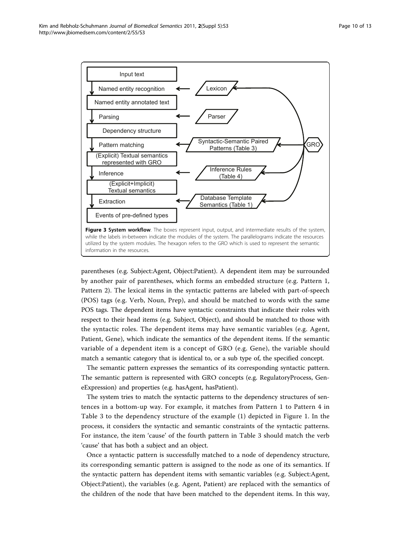<span id="page-9-0"></span>

parentheses (e.g. Subject:Agent, Object:Patient). A dependent item may be surrounded by another pair of parentheses, which forms an embedded structure (e.g. Pattern 1, Pattern 2). The lexical items in the syntactic patterns are labeled with part-of-speech (POS) tags (e.g. Verb, Noun, Prep), and should be matched to words with the same POS tags. The dependent items have syntactic constraints that indicate their roles with respect to their head items (e.g. Subject, Object), and should be matched to those with the syntactic roles. The dependent items may have semantic variables (e.g. Agent, Patient, Gene), which indicate the semantics of the dependent items. If the semantic variable of a dependent item is a concept of GRO (e.g. Gene), the variable should match a semantic category that is identical to, or a sub type of, the specified concept.

The semantic pattern expresses the semantics of its corresponding syntactic pattern. The semantic pattern is represented with GRO concepts (e.g. RegulatoryProcess, GeneExpression) and properties (e.g. hasAgent, hasPatient).

The system tries to match the syntactic patterns to the dependency structures of sentences in a bottom-up way. For example, it matches from Pattern 1 to Pattern 4 in Table [3](#page-8-0) to the dependency structure of the example (1) depicted in Figure [1](#page-7-0). In the process, it considers the syntactic and semantic constraints of the syntactic patterns. For instance, the item 'cause' of the fourth pattern in Table [3](#page-8-0) should match the verb 'cause' that has both a subject and an object.

Once a syntactic pattern is successfully matched to a node of dependency structure, its corresponding semantic pattern is assigned to the node as one of its semantics. If the syntactic pattern has dependent items with semantic variables (e.g. Subject:Agent, Object:Patient), the variables (e.g. Agent, Patient) are replaced with the semantics of the children of the node that have been matched to the dependent items. In this way,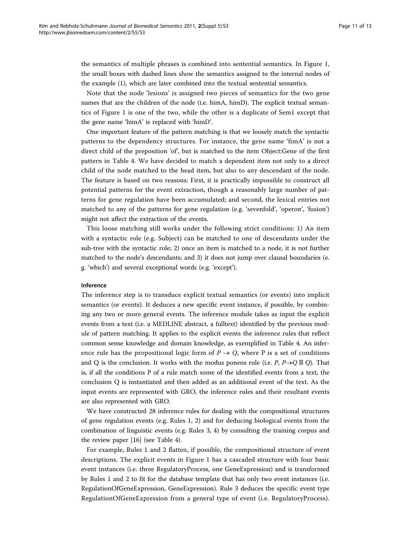the semantics of multiple phrases is combined into sentential semantics. In Figure [1](#page-7-0), the small boxes with dashed lines show the semantics assigned to the internal nodes of the example (1), which are later combined into the textual sentential semantics.

Note that the node 'lesions' is assigned two pieces of semantics for the two gene names that are the children of the node (i.e. himA, himD). The explicit textual semantics of Figure [1](#page-7-0) is one of the two, while the other is a duplicate of Sem1 except that the gene name 'himA' is replaced with 'himD'.

One important feature of the pattern matching is that we loosely match the syntactic patterns to the dependency structures. For instance, the gene name 'fimA' is not a direct child of the preposition 'of', but is matched to the item Object:Gene of the first pattern in Table [4.](#page-8-0) We have decided to match a dependent item not only to a direct child of the node matched to the head item, but also to any descendant of the node. The feature is based on two reasons: First, it is practically impossible to construct all potential patterns for the event extraction, though a reasonably large number of patterns for gene regulation have been accumulated; and second, the lexical entries not matched to any of the patterns for gene regulation (e.g. 'sevenfold', 'operon', 'fusion') might not affect the extraction of the events.

This loose matching still works under the following strict conditions: 1) An item with a syntactic role (e.g. Subject) can be matched to one of descendants under the sub-tree with the syntactic role; 2) once an item is matched to a node, it is not further matched to the node's descendants; and 3) it does not jump over clausal boundaries (e. g. 'which') and several exceptional words (e.g. 'except').

#### Inference

The inference step is to transduce explicit textual semantics (or events) into implicit semantics (or events). It deduces a new specific event instance, if possible, by combining any two or more general events. The inference module takes as input the explicit events from a text (i.e. a MEDLINE abstract, a fulltext) identified by the previous module of pattern matching. It applies to the explicit events the inference rules that reflect common sense knowledge and domain knowledge, as exemplified in Table [4](#page-8-0). An inference rule has the propositional logic form of  $P \rightarrow Q$ , where P is a set of conditions and Q is the conclusion. It works with the modus ponens rule (i.e. P,  $P\rightarrow Q\boxtimes Q$ ). That is, if all the conditions P of a rule match some of the identified events from a text, the conclusion Q is instantiated and then added as an additional event of the text. As the input events are represented with GRO, the inference rules and their resultant events are also represented with GRO.

We have constructed 28 inference rules for dealing with the compositional structures of gene regulation events (e.g. Rules 1, 2) and for deducing biological events from the combination of linguistic events (e.g. Rules 3, 4) by consulting the training corpus and the review paper [\[16](#page-12-0)] (see Table [4](#page-8-0)).

For example, Rules 1 and 2 flatten, if possible, the compositional structure of event descriptions. The explicit events in Figure [1](#page-7-0) has a cascaded structure with four basic event instances (i.e. three RegulatoryProcess, one GeneExpression) and is transformed by Rules 1 and 2 to fit for the database template that has only two event instances (i.e. RegulationOfGeneExpression, GeneExpression). Rule 3 deduces the specific event type RegulationOfGeneExpression from a general type of event (i.e. RegulatoryProcess).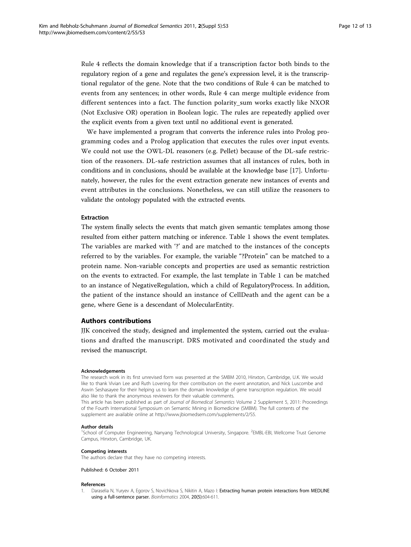<span id="page-11-0"></span>Rule 4 reflects the domain knowledge that if a transcription factor both binds to the regulatory region of a gene and regulates the gene's expression level, it is the transcriptional regulator of the gene. Note that the two conditions of Rule 4 can be matched to events from any sentences; in other words, Rule 4 can merge multiple evidence from different sentences into a fact. The function polarity\_sum works exactly like NXOR (Not Exclusive OR) operation in Boolean logic. The rules are repeatedly applied over the explicit events from a given text until no additional event is generated.

We have implemented a program that converts the inference rules into Prolog programming codes and a Prolog application that executes the rules over input events. We could not use the OWL-DL reasoners (e.g. Pellet) because of the DL-safe restriction of the reasoners. DL-safe restriction assumes that all instances of rules, both in conditions and in conclusions, should be available at the knowledge base [\[17](#page-12-0)]. Unfortunately, however, the rules for the event extraction generate new instances of events and event attributes in the conclusions. Nonetheless, we can still utilize the reasoners to validate the ontology populated with the extracted events.

#### Extraction

The system finally selects the events that match given semantic templates among those resulted from either pattern matching or inference. Table [1](#page-2-0) shows the event templates. The variables are marked with '?' and are matched to the instances of the concepts referred to by the variables. For example, the variable "?Protein" can be matched to a protein name. Non-variable concepts and properties are used as semantic restriction on the events to extracted. For example, the last template in Table [1](#page-2-0) can be matched to an instance of NegativeRegulation, which a child of RegulatoryProcess. In addition, the patient of the instance should an instance of CellDeath and the agent can be a gene, where Gene is a descendant of MolecularEntity.

# Authors contributions

JJK conceived the study, designed and implemented the system, carried out the evaluations and drafted the manuscript. DRS motivated and coordinated the study and revised the manuscript.

#### Acknowledgements

The research work in its first unrevised form was presented at the SMBM 2010, Hinxton, Cambridge, U.K. We would like to thank Vivian Lee and Ruth Lovering for their contribution on the event annotation, and Nick Luscombe and Aswin Seshasayee for their helping us to learn the domain knowledge of gene transcription regulation. We would also like to thank the anonymous reviewers for their valuable comments.

This article has been published as part of Journal of Biomedical Semantics Volume 2 Supplement 5, 2011: Proceedings of the Fourth International Symposium on Semantic Mining in Biomedicine (SMBM). The full contents of the supplement are available online at [http://www.jbiomedsem.com/supplements/2/S5.](http://www.jbiomedsem.com/supplements/2/S5)

#### Author details

<sup>1</sup>School of Computer Engineering, Nanyang Technological University, Singapore. <sup>2</sup>EMBL-EBI, Wellcome Trust Genome Campus, Hinxton, Cambridge, UK.

#### Competing interests

The authors declare that they have no competing interests.

Published: 6 October 2011

#### References

1. Daraselia N, Yuryev A, Egorov S, Novichkova S, Nikitin A, Mazo I: [Extracting human protein interactions from MEDLINE](http://www.ncbi.nlm.nih.gov/pubmed/15033866?dopt=Abstract) [using a full-sentence parser.](http://www.ncbi.nlm.nih.gov/pubmed/15033866?dopt=Abstract) Bioinformatics 2004, 20(5):604-611.